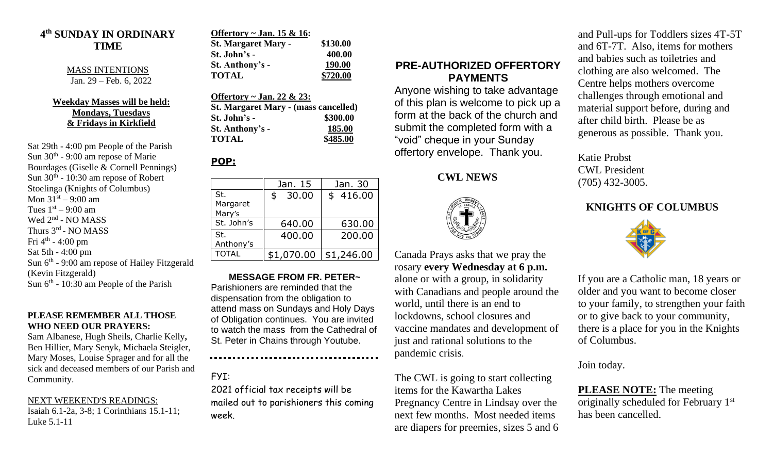#### **4 th SUNDAY IN ORDINARY TIME**

#### MASS INTENTIONS Jan. 29 – Feb. 6, 2022

#### **Weekday Masses will be held: Mondays, Tuesdays & Fridays in Kirkfield**

Sat 29th - 4:00 pm People of the Parish Sun 30<sup>th</sup> - 9:00 am repose of Marie Bourdages (Giselle & Cornell Pennings) Sun  $30<sup>th</sup>$  - 10:30 am repose of Robert Stoelinga (Knights of Columbus) Mon  $31^{st} - 9:00$  am Tues  $1<sup>st</sup> - 9:00$  am Wed 2<sup>nd</sup> - NO MASS Thurs 3<sup>rd</sup> - NO MASS Fri 4<sup>th</sup> - 4:00 pm Sat 5th - 4:00 pm Sun 6<sup>th</sup> - 9:00 am repose of Hailey Fitzgerald (Kevin Fitzgerald) Sun  $6<sup>th</sup>$  - 10:30 am People of the Parish

#### **PLEASE REMEMBER ALL THOSE WHO NEED OUR PRAYERS:**

Sam Albanese, Hugh Sheils, Charlie Kelly**,**  Ben Hillier, Mary Senyk, Michaela Steigler, Mary Moses, Louise Sprager and for all the sick and deceased members of our Parish and Community.

NEXT WEEKEND'S READINGS: Isaiah 6.1-2a, 3-8; 1 Corinthians 15.1-11; Luke 5.1-11

| Offertory ~ Jan. 15 & 16:  |          |
|----------------------------|----------|
| <b>St. Margaret Mary -</b> | \$130.00 |
| St. John's -               | 400.00   |
| St. Anthony's -            | 190.00   |
| <b>TOTAL</b>               | \$720.00 |

**Offertory ~ Jan. 22 & 23: St. Margaret Mary - (mass cancelled) St. John's - \$300.00 St. Anthony's - 185.00 TOTAL \$485.00**

### **POP:**

|                           | Jan. 15     | Jan. 30    |
|---------------------------|-------------|------------|
| St.<br>Margaret<br>Mary's | 30.00<br>\$ | \$416.00   |
| St. John's                | 640.00      | 630.00     |
| St.<br>Anthony's          | 400.00      | 200.00     |
| <b>TOTAL</b>              | \$1,070.00  | \$1,246.00 |

**MESSAGE FROM FR. PETER~** Parishioners are reminded that the dispensation from the obligation to attend mass on Sundays and Holy Days of Obligation continues. You are invited to watch the mass from the Cathedral of St. Peter in Chains through Youtube.

## FYI:

2021 official tax receipts will be mailed out to parishioners this coming week.

### **PRE-AUTHORIZED OFFERTORY PAYMENTS**

Anyone wishing to take advantage of this plan is welcome to pick up a form at the back of the church and submit the completed form with a "void" cheque in your Sunday offertory envelope. Thank you.

### **CWL NEWS**



Canada Prays asks that we pray the rosary **every Wednesday at 6 p.m.**  alone or with a group, in solidarity with Canadians and people around the world, until there is an end to lockdowns, school closures and vaccine mandates and development of just and rational solutions to the pandemic crisis.

The CWL is going to start collecting items for the Kawartha Lakes Pregnancy Centre in Lindsay over the next few months. Most needed items are diapers for preemies, sizes 5 and 6 and Pull-ups for Toddlers sizes 4T-5T and 6T-7T. Also, items for mothers and babies such as toiletries and clothing are also welcomed. The Centre helps mothers overcome challenges through emotional and material support before, during and after child birth. Please be as generous as possible. Thank you.

Katie Probst CWL President (705) 432-3005.

# **KNIGHTS OF COLUMBUS**



If you are a Catholic man, 18 years or older and you want to become closer to your family, to strengthen your faith or to give back to your community, there is a place for you in the Knights of Columbus.

Join today.

**PLEASE NOTE:** The meeting originally scheduled for February 1st has been cancelled.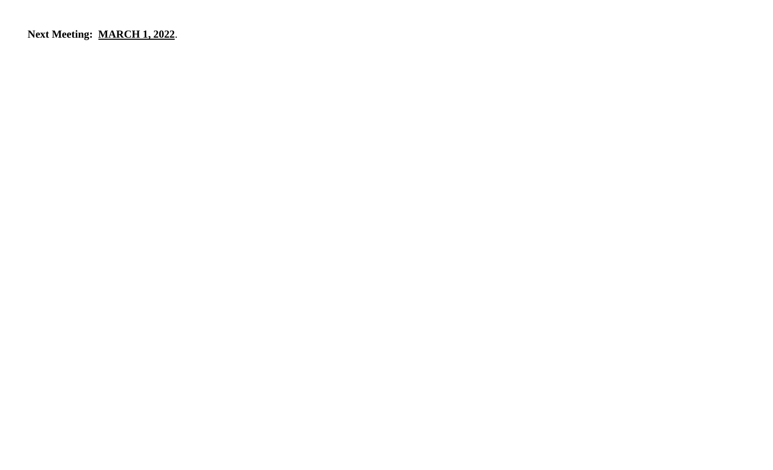**Next Meeting: MARCH 1, 2022**.